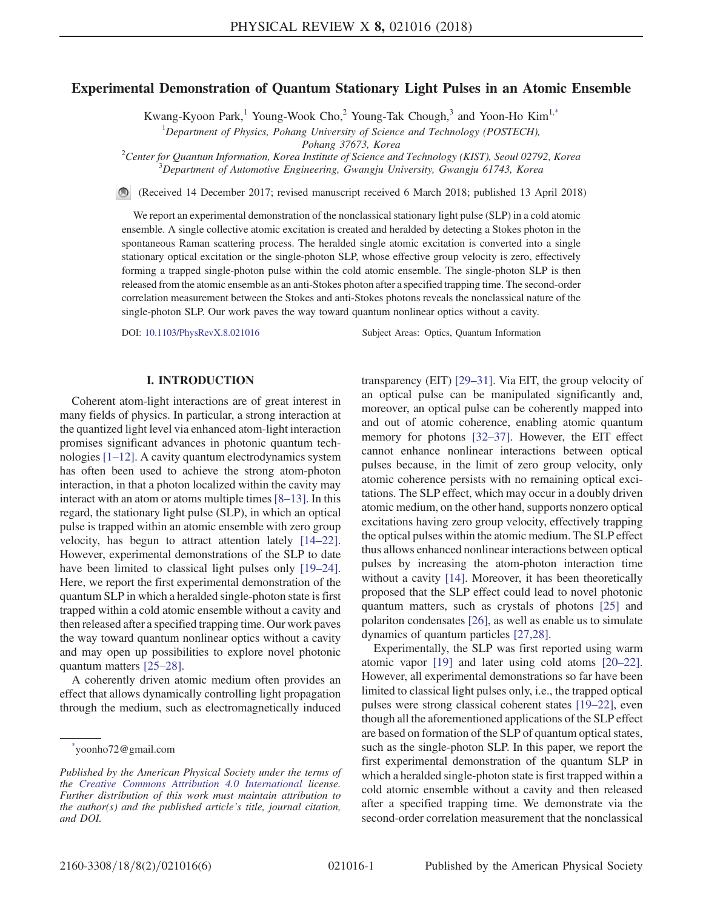#### <span id="page-0-1"></span>Experimental Demonstration of Quantum Stationary Light Pulses in an Atomic Ensemble

Kwang-Kyoon Park,<sup>1</sup> Young-Wook Cho,<sup>2</sup> Young-Tak Chough,<sup>3</sup> and Yoon-Ho Kim<sup>[1,\\*](#page-0-0)</sup>

<sup>1</sup>Department of Physics, Pohang University of Science and Technology (POSTECH),

Pohang 37673, Korea<br><sup>2</sup>Conter for Quantum Information, Korea Institute of Science and

Center for Quantum Information, Korea Institute of Science and Technology (KIST), Seoul 02792, Korea <sup>3</sup>  $^3$ Department of Automotive Engineering, Gwangju University, Gwangju 61743, Korea

(Received 14 December 2017; revised manuscript received 6 March 2018; published 13 April 2018)

We report an experimental demonstration of the nonclassical stationary light pulse (SLP) in a cold atomic ensemble. A single collective atomic excitation is created and heralded by detecting a Stokes photon in the spontaneous Raman scattering process. The heralded single atomic excitation is converted into a single stationary optical excitation or the single-photon SLP, whose effective group velocity is zero, effectively forming a trapped single-photon pulse within the cold atomic ensemble. The single-photon SLP is then released from the atomic ensemble as an anti-Stokes photon after a specified trapping time. The second-order correlation measurement between the Stokes and anti-Stokes photons reveals the nonclassical nature of the single-photon SLP. Our work paves the way toward quantum nonlinear optics without a cavity.

DOI: [10.1103/PhysRevX.8.021016](https://doi.org/10.1103/PhysRevX.8.021016) Subject Areas: Optics, Quantum Information

# I. INTRODUCTION

Coherent atom-light interactions are of great interest in many fields of physics. In particular, a strong interaction at the quantized light level via enhanced atom-light interaction promises significant advances in photonic quantum technologies [1–[12\]](#page-4-0). A cavity quantum electrodynamics system has often been used to achieve the strong atom-photon interaction, in that a photon localized within the cavity may interact with an atom or atoms multiple times [8–[13\].](#page-4-1) In this regard, the stationary light pulse (SLP), in which an optical pulse is trapped within an atomic ensemble with zero group velocity, has begun to attract attention lately [\[14](#page-5-0)–22]. However, experimental demonstrations of the SLP to date have been limited to classical light pulses only [\[19](#page-5-1)–24]. Here, we report the first experimental demonstration of the quantum SLP in which a heralded single-photon state is first trapped within a cold atomic ensemble without a cavity and then released after a specified trapping time. Our work paves the way toward quantum nonlinear optics without a cavity and may open up possibilities to explore novel photonic quantum matters [\[25](#page-5-2)–28].

A coherently driven atomic medium often provides an effect that allows dynamically controlling light propagation through the medium, such as electromagnetically induced transparency (EIT) [\[29](#page-5-3)–31]. Via EIT, the group velocity of an optical pulse can be manipulated significantly and, moreover, an optical pulse can be coherently mapped into and out of atomic coherence, enabling atomic quantum memory for photons [\[32](#page-5-4)–37]. However, the EIT effect cannot enhance nonlinear interactions between optical pulses because, in the limit of zero group velocity, only atomic coherence persists with no remaining optical excitations. The SLP effect, which may occur in a doubly driven atomic medium, on the other hand, supports nonzero optical excitations having zero group velocity, effectively trapping the optical pulses within the atomic medium. The SLP effect thus allows enhanced nonlinear interactions between optical pulses by increasing the atom-photon interaction time without a cavity [\[14\]](#page-5-0). Moreover, it has been theoretically proposed that the SLP effect could lead to novel photonic quantum matters, such as crystals of photons [\[25\]](#page-5-2) and polariton condensates [\[26\]](#page-5-5), as well as enable us to simulate dynamics of quantum particles [\[27,28\].](#page-5-6)

Experimentally, the SLP was first reported using warm atomic vapor [\[19\]](#page-5-1) and later using cold atoms [\[20](#page-5-7)–22]. However, all experimental demonstrations so far have been limited to classical light pulses only, i.e., the trapped optical pulses were strong classical coherent states [19–[22\],](#page-5-1) even though all the aforementioned applications of the SLP effect are based on formation of the SLP of quantum optical states, such as the single-photon SLP. In this paper, we report the first experimental demonstration of the quantum SLP in which a heralded single-photon state is first trapped within a cold atomic ensemble without a cavity and then released after a specified trapping time. We demonstrate via the second-order correlation measurement that the nonclassical

<span id="page-0-0"></span>[<sup>\\*</sup>](#page-0-1) yoonho72@gmail.com

Published by the American Physical Society under the terms of the [Creative Commons Attribution 4.0 International](https://creativecommons.org/licenses/by/4.0/) license. Further distribution of this work must maintain attribution to the author(s) and the published article's title, journal citation, and DOI.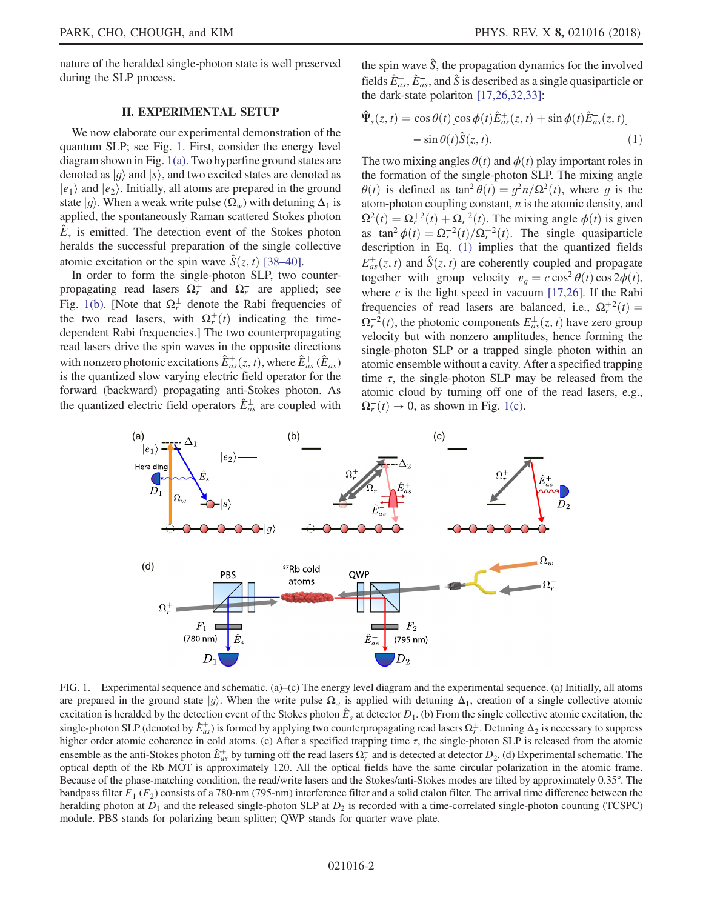nature of the heralded single-photon state is well preserved during the SLP process.

# II. EXPERIMENTAL SETUP

We now elaborate our experimental demonstration of the quantum SLP; see Fig. [1.](#page-1-0) First, consider the energy level diagram shown in Fig. [1\(a\).](#page-1-0) Two hyperfine ground states are denoted as  $|g\rangle$  and  $|s\rangle$ , and two excited states are denoted as  $|e_1\rangle$  and  $|e_2\rangle$ . Initially, all atoms are prepared in the ground state  $|g\rangle$ . When a weak write pulse  $(\Omega_w)$  with detuning  $\Delta_1$  is applied, the spontaneously Raman scattered Stokes photon  $E<sub>s</sub>$  is emitted. The detection event of the Stokes photon heralds the successful preparation of the single collective atomic excitation or the spin wave  $\hat{S}(z, t)$  [38–[40\].](#page-5-8)

In order to form the single-photon SLP, two counterpropagating read lasers  $\Omega_r^+$  and  $\Omega_r^-$  are applied; see<br>Fig. 1(b). Note that  $\Omega_r^{\pm}$  denote the Bebi frequencies of Fig. [1\(b\)](#page-1-0). [Note that  $\Omega_{\tau}^{\pm}$  denote the Rabi frequencies of the time read league with  $\Omega_{\tau}^{\pm}(t)$  indicating the time the two read lasers, with  $\Omega^{\pm}_{r}(t)$  indicating the time-<br>dependent Rabi frequencies l The two counterpropagating dependent Rabi frequencies.] The two counterpropagating read lasers drive the spin waves in the opposite directions with nonzero photonic excitations  $\hat{E}_{as}^{\pm}(z, t)$ , where  $\hat{E}_{as}^{+}(\hat{E}_{as}^{-})$ <br>is the quantized slow varying electric field operator for the is the quantized slow varying electric field operator for the forward (backward) propagating anti-Stokes photon. As the quantized electric field operators  $\hat{E}^{\pm}_{as}$  are coupled with <span id="page-1-1"></span>the spin wave  $\hat{S}$ , the propagation dynamics for the involved fields  $\hat{E}_{as}^{+}$ ,  $\hat{E}_{as}^{-}$ , and  $\hat{S}$  is described as a single quasiparticle or the dark-state polariton [17.26.32.33] the dark-state polariton [\[17,26,32,33\]:](#page-5-9)

$$
\hat{\Psi}_s(z,t) = \cos\theta(t) [\cos\phi(t)\hat{E}_{as}^+(z,t) + \sin\phi(t)\hat{E}_{as}^-(z,t)] \n- \sin\theta(t)\hat{S}(z,t).
$$
\n(1)

The two mixing angles  $\theta(t)$  and  $\phi(t)$  play important roles in the formation of the single-photon SLP. The mixing angle  $\theta(t)$  is defined as tan<sup>2</sup> $\theta(t)=\frac{q^2n}{\Omega^2(t)}$ , where g is the atom-photon coupling constant,  $n$  is the atomic density, and  $\Omega^2(t) = \Omega_r^{+2}(t) + \Omega_r^{-2}(t)$ . The mixing angle  $\phi(t)$  is given<br>as  $\tan^2 \phi(t) = \Omega^{-2}(t)/\Omega^{+2}(t)$ . The single quasiparticle as  $\tan^2 \phi(t) = \Omega_r^{-2}(t)/\Omega_r^{+2}(t)$ . The single quasiparticle description in Eq. (1) implies that the quantized fields description in Eq. [\(1\)](#page-1-1) implies that the quantized fields  $E^{\pm}_{a}$  $\frac{d}{ds}(z, t)$  and  $\hat{S}(z, t)$  are coherently coupled and propagate together with group velocity  $v_g = c \cos^2 \theta(t) \cos 2\phi(t)$ ,<br>where c is the light speed in vecuum [17.26]. If the Rabi where  $c$  is the light speed in vacuum [\[17,26\]](#page-5-9). If the Rabi frequencies of read lasers are balanced, i.e.,  $\Omega_r^{+2}(t) =$ <br> $Q^{-2}(t)$  the photonic components  $E^{\pm}(z, t)$  have zero group  $\Omega_r^{-2}(t)$ , the photonic components  $E_{\text{ads}}^{\pm}(z, t)$  have zero group velocity but with nonzero amplitudes, hence forming the velocity but with nonzero amplitudes, hence forming the single-photon SLP or a trapped single photon within an atomic ensemble without a cavity. After a specified trapping time  $\tau$ , the single-photon SLP may be released from the atomic cloud by turning off one of the read lasers, e.g.,  $\Omega_r^-(t) \to 0$ , as shown in Fig. [1\(c\).](#page-1-0)

<span id="page-1-0"></span>

FIG. 1. Experimental sequence and schematic. (a)–(c) The energy level diagram and the experimental sequence. (a) Initially, all atoms are prepared in the ground state  $|g\rangle$ . When the write pulse  $\Omega_w$  is applied with detuning  $\Delta_1$ , creation of a single collective atomic excitation is heralded by the detection event of the Stokes photon  $\hat{E}_s$  at detector  $D_1$ . (b) From the single collective atomic excitation, the single-photon SLP (denoted by  $\hat{E}_{ds}^{+}$ ) is formed by applying two counterpropagating read lasers  $\Omega_{\tau}^{+}$ . Detuning  $\Delta_2$  is necessary to suppress higher order atomic coherence in cold atoms (c) After a specified higher order atomic coherence in cold atoms. (c) After a specified trapping time  $\tau$ , the single-photon SLP is released from the atomic ensemble as the anti-Stokes photon  $\hat{E}_{as}^{+}$  by turning off the read lasers  $\Omega_r^-$  and is detected at detector  $D_2$ . (d) Experimental schematic. The optical denth of the Rb MOT is approximately 120. All the optical fi optical depth of the Rb MOT is approximately 120. All the optical fields have the same circular polarization in the atomic frame. Because of the phase-matching condition, the read/write lasers and the Stokes/anti-Stokes modes are tilted by approximately 0.35°. The bandpass filter  $F_1$  ( $F_2$ ) consists of a 780-nm (795-nm) interference filter and a solid etalon filter. The arrival time difference between the heralding photon at  $D_1$  and the released single-photon SLP at  $D_2$  is recorded with a time-correlated single-photon counting (TCSPC) module. PBS stands for polarizing beam splitter; QWP stands for quarter wave plate.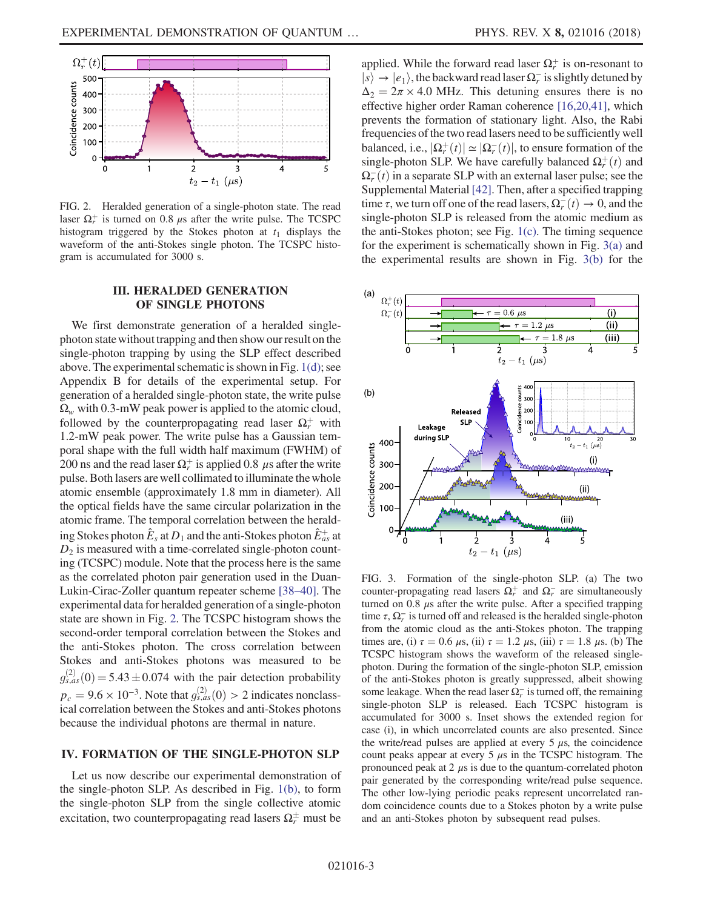<span id="page-2-0"></span>

FIG. 2. Heralded generation of a single-photon state. The read laser  $\Omega_r^+$  is turned on 0.8 μs after the write pulse. The TCSPC<br>histogram triggared by the Stokes photon at t, displays the histogram triggered by the Stokes photon at  $t_1$  displays the waveform of the anti-Stokes single photon. The TCSPC histogram is accumulated for 3000 s.

### III. HERALDED GENERATION<br>OF SINGLE PHOTONS OF SINGLE PHOTONS

We first demonstrate generation of a heralded singlephoton state without trapping and then show our result on the single-photon trapping by using the SLP effect described above. The experimental schematic is shown in Fig. [1\(d\)](#page-1-0); see Appendix B for details of the experimental setup. For generation of a heralded single-photon state, the write pulse  $\Omega_w$  with 0.3-mW peak power is applied to the atomic cloud, followed by the counterpropagating read laser  $\Omega_r^+$  with  $1.2 \text{ mW}$  peak power. The write pulse has a Gaussian tem-1.2-mW peak power. The write pulse has a Gaussian temporal shape with the full width half maximum (FWHM) of 200 ns and the read laser  $\Omega_r^+$  is applied 0.8  $\mu$ s after the write<br>pulse. Both lasers are well collimated to illuminate the whole pulse. Both lasers are well collimated to illuminate the whole atomic ensemble (approximately 1.8 mm in diameter). All the optical fields have the same circular polarization in the atomic frame. The temporal correlation between the heralding Stokes photon  $\hat{E}_s$  at  $D_1$  and the anti-Stokes photon  $\hat{E}_{as}^+$  at  $D_2$  is measured with a time-correlated single-photon count- $D_2$  is measured with a time-correlated single-photon counting (TCSPC) module. Note that the process here is the same as the correlated photon pair generation used in the Duan-Lukin-Cirac-Zoller quantum repeater scheme [38–[40\].](#page-5-8) The experimental data for heralded generation of a single-photon state are shown in Fig. [2](#page-2-0). The TCSPC histogram shows the second-order temporal correlation between the Stokes and the anti-Stokes photon. The cross correlation between Stokes and anti-Stokes photons was measured to be  $p_c = 9.6 \times 10^{-3}$ . Note that  $g_{s,as}^{(2)}(0) > 2$  indicates nonclass-<br>ical correlation between the Stokes and anti-Stokes photons  $\chi_{s,as}^{(2)}(0) = 5.43 \pm 0.074$  with the pair detection probability ical correlation between the Stokes and anti-Stokes photons because the individual photons are thermal in nature.

#### **IV. FORMATION OF THE SINGLE-PHOTON SLP** IV. FORMATION OF THE SINGLE-PHOTON SLP

Let us now describe our experimental demonstration of the single-photon SLP. As described in Fig. [1\(b\)](#page-1-0), to form the single-photon SLP from the single collective atomic excitation, two counterpropagating read lasers  $\Omega_r^{\pm}$  must be

applied. While the forward read laser  $\Omega_r^+$  is on-resonant to  $\vert \cdot \rangle \rightarrow \vert e \rangle$  the hackward read laser  $\Omega^-$  is slightly detuned by  $|s\rangle \rightarrow |e_1\rangle$ , the backward read laser  $\Omega_r^-$  is slightly detuned by<br> $\Delta_0 = 2\pi \times 4.0$  MHz. This detuning ensures there is no  $\Delta_2 = 2\pi \times 4.0$  MHz. This detuning ensures there is no effective higher order Raman coherence [\[16,20,41\],](#page-5-10) which prevents the formation of stationary light. Also, the Rabi frequencies of the two read lasers need to be sufficiently well balanced, i.e.,  $|\Omega_r^+(t)| \simeq |\Omega_r^-(t)|$ , to ensure formation of the single-photon SI P. We have carefully balanced  $\Omega^+(t)$  and single-photon SLP. We have carefully balanced  $\Omega_r^+(t)$  and  $\Omega^{-(t)}$  in a separate SLP with an external laser pulse; see the  $\Omega_{\tau}^-(t)$  in a separate SLP with an external laser pulse; see the Supplemental Material [42]. Then, after a specified trapping Supplemental Material [\[42\]](#page-5-11). Then, after a specified trapping time  $\tau$ , we turn off one of the read lasers,  $\Omega_r^-(t) \to 0$ , and the single-photon SI P is released from the atomic medium as single-photon SLP is released from the atomic medium as the anti-Stokes photon; see Fig. [1\(c\)](#page-1-0). The timing sequence for the experiment is schematically shown in Fig. [3\(a\)](#page-2-1) and the experimental results are shown in Fig. [3\(b\)](#page-2-1) for the

<span id="page-2-1"></span>

FIG. 3. Formation of the single-photon SLP. (a) The two counter-propagating read lasers  $\Omega_r^+$  and  $\Omega_r^-$  are simultaneously<br>turned on 0.8 us ofter the write pulse. After a specified trapping turned on 0.8  $\mu$ s after the write pulse. After a specified trapping time  $\tau$ ,  $\Omega_r^-$  is turned off and released is the heralded single-photon<br>from the atomic cloud as the anti-Stokes photon. The transing from the atomic cloud as the anti-Stokes photon. The trapping times are, (i)  $\tau = 0.6 \mu s$ , (ii)  $\tau = 1.2 \mu s$ , (iii)  $\tau = 1.8 \mu s$ . (b) The TCSPC histogram shows the waveform of the released singlephoton. During the formation of the single-photon SLP, emission of the anti-Stokes photon is greatly suppressed, albeit showing some leakage. When the read laser  $\Omega_r^-$  is turned off, the remaining<br>single photon. SLP is released. Footh TCSPC bistogram is single-photon SLP is released. Each TCSPC histogram is accumulated for 3000 s. Inset shows the extended region for case (i), in which uncorrelated counts are also presented. Since the write/read pulses are applied at every 5  $\mu$ s, the coincidence count peaks appear at every  $5 \mu s$  in the TCSPC histogram. The pronounced peak at  $2 \mu s$  is due to the quantum-correlated photon pair generated by the corresponding write/read pulse sequence. The other low-lying periodic peaks represent uncorrelated random coincidence counts due to a Stokes photon by a write pulse and an anti-Stokes photon by subsequent read pulses.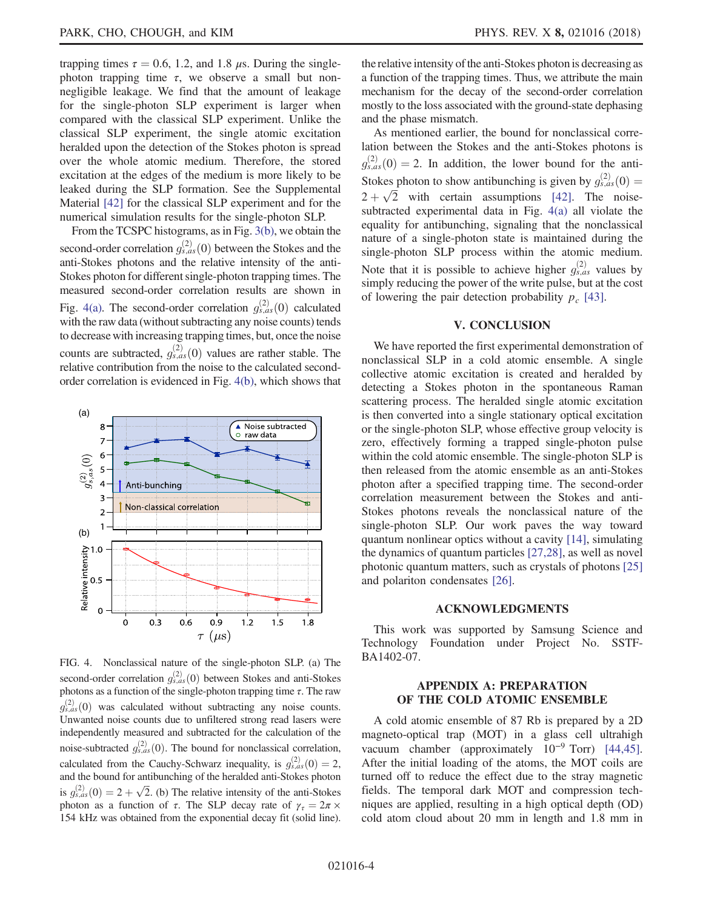trapping times  $\tau = 0.6$ , 1.2, and 1.8 μs. During the singlephoton trapping time  $\tau$ , we observe a small but nonnegligible leakage. We find that the amount of leakage for the single-photon SLP experiment is larger when compared with the classical SLP experiment. Unlike the classical SLP experiment, the single atomic excitation heralded upon the detection of the Stokes photon is spread over the whole atomic medium. Therefore, the stored excitation at the edges of the medium is more likely to be leaked during the SLP formation. See the Supplemental Material [\[42\]](#page-5-11) for the classical SLP experiment and for the numerical simulation results for the single-photon SLP.

From the TCSPC histograms, as in Fig. [3\(b\),](#page-2-1) we obtain the second-order correlation  $g_{s,as}^{(2)}(0)$  between the Stokes and the anti-<br>anti-Stokes photons and the relative intensity of the antianti-Stokes photons and the relative intensity of the anti-Stokes photon for different single-photon trapping times. The measured second-order correlation results are shown in Fig. [4\(a\).](#page-3-0) The second-order correlation  $g_{s,as}^{(2)}(0)$  calculated<br>with the raw data (without subtracting any noise counts) tends with the raw data (without subtracting any noise counts) tends to decrease with increasing trapping times, but, once the noise counts are subtracted,  $g_{s,as}^{(2)}(0)$  values are rather stable. The relative contribution from the noise to the calculated secondorder correlation is evidenced in Fig. [4\(b\)](#page-3-0), which shows that

<span id="page-3-0"></span>

FIG. 4. Nonclassical nature of the single-photon SLP. (a) The second-order correlation  $g_{s,as}^{(2)}(0)$  between Stokes and anti-Stokes photons as a function of the single-photon trapping time τ. The raw Unwanted noise counts due to unfiltered strong read lasers were  $\frac{\binom{2}{3}}{\binom{2}{5}}$  was calculated without subtracting any noise counts. independently measured and subtracted for the calculation of the noise-subtracted  $g_{3,as}^{(2)}(0)$ . The bound for nonclassical correlation, calculated from the Cauchy-Schwarz inequality, is  $g_{s,as}^{(2)}(0) = 2$ , and the bound for antibunching of the heralded anti-Stokes photon and the bound for antibunching of the heralded anti-Stokes photon and the bound for antibunching of the neraticed anti-Stokes photon<br>is  $g_{s,as}^{(2)}(0) = 2 + \sqrt{2}$ . (b) The relative intensity of the anti-Stokes<br>photon as a function of  $\tau$ . The SLP decay rate of  $\gamma = 2\pi$ photon as a function of  $\tau$ . The SLP decay rate of  $\gamma_{\tau} = 2\pi \times$ 154 kHz was obtained from the exponential decay fit (solid line).

the relative intensity of the anti-Stokes photon is decreasing as a function of the trapping times. Thus, we attribute the main mechanism for the decay of the second-order correlation mostly to the loss associated with the ground-state dephasing and the phase mismatch.

As mentioned earlier, the bound for nonclassical correlation between the Stokes and the anti-Stokes photons is Stokes photon to show antibunching is given by  $g_{s,as}^{(2)}(0) =$ <br>2 <u>b</u>  $\sqrt{2}$  with exitain essumptions [42]. The noise  $\chi^{(2)}_{s,as}(0) = 2$ . In addition, the lower bound for the anti-Stokes photon to show antibunching is given by  $g_{s,as}^+(0) = 2 + \sqrt{2}$  with certain assumptions [\[42\].](#page-5-11) The noisesubtracted experimental data in Fig. [4\(a\)](#page-3-0) all violate the equality for antibunching, signaling that the nonclassical nature of a single-photon state is maintained during the single-photon SLP process within the atomic medium. Note that it is possible to achieve higher  $g_{s,as}^{(2)}$  values by simply reducing the power of the write pulse but at the cost simply reducing the power of the write pulse, but at the cost of lowering the pair detection probability  $p_c$  [\[43\]](#page-5-12).

# V. CONCLUSION

We have reported the first experimental demonstration of nonclassical SLP in a cold atomic ensemble. A single collective atomic excitation is created and heralded by detecting a Stokes photon in the spontaneous Raman scattering process. The heralded single atomic excitation is then converted into a single stationary optical excitation or the single-photon SLP, whose effective group velocity is zero, effectively forming a trapped single-photon pulse within the cold atomic ensemble. The single-photon SLP is then released from the atomic ensemble as an anti-Stokes photon after a specified trapping time. The second-order correlation measurement between the Stokes and anti-Stokes photons reveals the nonclassical nature of the single-photon SLP. Our work paves the way toward quantum nonlinear optics without a cavity [\[14\],](#page-5-0) simulating the dynamics of quantum particles [\[27,28\],](#page-5-6) as well as novel photonic quantum matters, such as crystals of photons [\[25\]](#page-5-2) and polariton condensates [\[26\]](#page-5-5).

### ACCEPT CHEMICS

This work was supported by Samsung Science and Technology Foundation under Project No. SSTF-BA1402-07.

### APPENDIX A: PREPARATION<br>OF THE COLD ATOMIC ENSEMBLE OF THE COLD ATOMIC ENSEMBLE

A cold atomic ensemble of 87 Rb is prepared by a 2D magneto-optical trap (MOT) in a glass cell ultrahigh vacuum chamber (approximately  $10^{-9}$  Torr) [\[44,45\]](#page-5-13). After the initial loading of the atoms, the MOT coils are turned off to reduce the effect due to the stray magnetic fields. The temporal dark MOT and compression techniques are applied, resulting in a high optical depth (OD) cold atom cloud about 20 mm in length and 1.8 mm in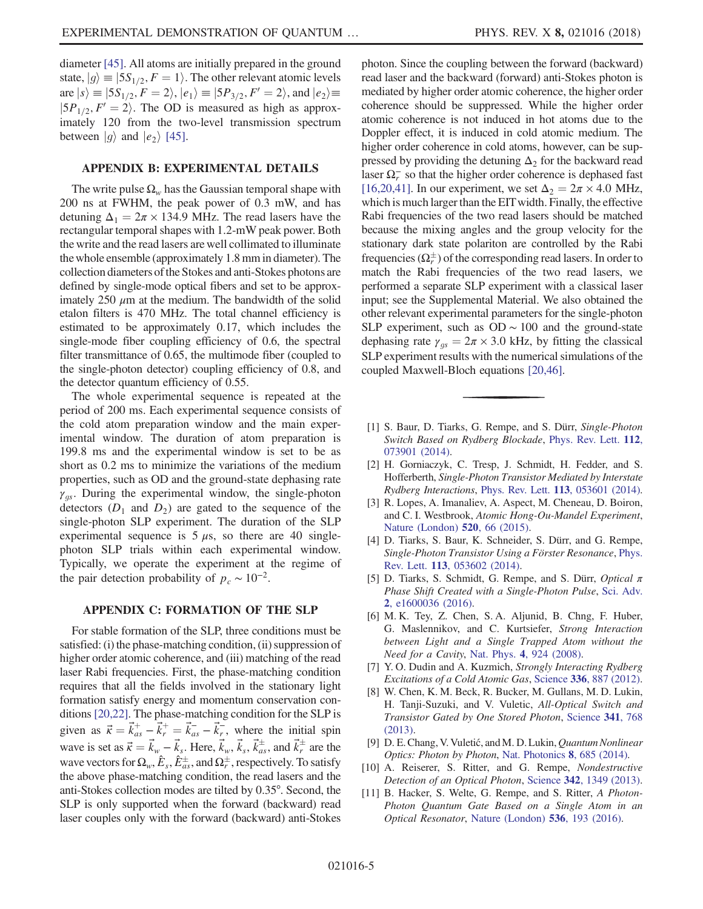diameter [\[45\].](#page-5-14) All atoms are initially prepared in the ground state,  $|g\rangle \equiv |5S_{1/2}, F = 1\rangle$ . The other relevant atomic levels are  $|s\rangle \equiv |5S_{1/2}, F = 2\rangle, |e_1\rangle \equiv |5P_{3/2}, F' = 2\rangle$ , and  $|e_2\rangle \equiv$  $|5P_{1/2}, F'(2)|$ . The OD is measured as high as approximately 120 from the two-level transmission spectrum between  $|g\rangle$  and  $|e_2\rangle$  [\[45\].](#page-5-14)

# APPENDIX B: EXPERIMENTAL DETAILS

The write pulse  $\Omega_w$  has the Gaussian temporal shape with 200 ns at FWHM, the peak power of 0.3 mW, and has detuning  $\Delta_1 = 2\pi \times 134.9$  MHz. The read lasers have the rectangular temporal shapes with 1.2-mW peak power. Both the write and the read lasers are well collimated to illuminate the whole ensemble (approximately 1.8 mm in diameter). The collection diameters of the Stokes and anti-Stokes photons are defined by single-mode optical fibers and set to be approximately 250  $\mu$ m at the medium. The bandwidth of the solid etalon filters is 470 MHz. The total channel efficiency is estimated to be approximately 0.17, which includes the single-mode fiber coupling efficiency of 0.6, the spectral filter transmittance of 0.65, the multimode fiber (coupled to the single-photon detector) coupling efficiency of 0.8, and the detector quantum efficiency of 0.55.

The whole experimental sequence is repeated at the period of 200 ms. Each experimental sequence consists of the cold atom preparation window and the main experimental window. The duration of atom preparation is 199.8 ms and the experimental window is set to be as short as 0.2 ms to minimize the variations of the medium properties, such as OD and the ground-state dephasing rate  $\gamma_{gs}$ . During the experimental window, the single-photon detectors (D, and D) are seted to the sequence of the detectors  $(D_1 \text{ and } D_2)$  are gated to the sequence of the single-photon SLP experiment. The duration of the SLP experimental sequence is  $5 \mu s$ , so there are 40 singlephoton SLP trials within each experimental window. Typically, we operate the experiment at the regime of the pair detection probability of  $p_c \sim 10^{-2}$ .

#### APPENDIX C: FORMATION OF THE SLP

For stable formation of the SLP, three conditions must be satisfied: (i) the phase-matching condition, (ii) suppression of higher order atomic coherence, and (iii) matching of the read laser Rabi frequencies. First, the phase-matching condition requires that all the fields involved in the stationary light formation satisfy energy and momentum conservation conditions [\[20,22\].](#page-5-7) The phase-matching condition for the SLP is given as  $\vec{\kappa} = \vec{k}_{as}^+ - \vec{k}_r^+ = \vec{k}_{as}^- - \vec{k}_r^-$ , where the initial spin<br>regional set as  $\vec{k} = \vec{k}_{as}^- - \vec{k}_r^-$ , where the initial spin wave is set as  $\vec{\kappa} = \vec{k}_w - \vec{k}_s$ . Here,  $\vec{k}_w$ ,  $\vec{k}_s$ ,  $\vec{k}_{ds}^{\pm}$ , and  $\vec{k}_{\perp}^{\pm}$  are the wave vectors for  $\Omega_w$ ,  $\hat{E}_s$ ,  $\hat{E}_{as}^{\pm}$ , and  $\Omega_r^{\pm}$ , respectively. To satisfy<br>the above phase-matching condition, the read lasers and the the above phase-matching condition, the read lasers and the anti-Stokes collection modes are tilted by 0.35°. Second, the SLP is only supported when the forward (backward) read laser couples only with the forward (backward) anti-Stokes photon. Since the coupling between the forward (backward) read laser and the backward (forward) anti-Stokes photon is mediated by higher order atomic coherence, the higher order coherence should be suppressed. While the higher order atomic coherence is not induced in hot atoms due to the Doppler effect, it is induced in cold atomic medium. The higher order coherence in cold atoms, however, can be suppressed by providing the detuning  $\Delta_2$  for the backward read laser  $\Omega_r^-$  so that the higher order coherence is dephased fast  $\Omega_r = 2\pi \times 4.0 \text{ MHz}$ [\[16,20,41\].](#page-5-10) In our experiment, we set  $\Delta_2 = 2\pi \times 4.0$  MHz, which is much larger than the EIT width. Finally, the effective Rabi frequencies of the two read lasers should be matched because the mixing angles and the group velocity for the stationary dark state polariton are controlled by the Rabi frequencies  $(\Omega_r^{\pm})$  of the corresponding read lasers. In order to match the Babi frequencies of the two read lasers, we match the Rabi frequencies of the two read lasers, we performed a separate SLP experiment with a classical laser input; see the Supplemental Material. We also obtained the other relevant experimental parameters for the single-photon SLP experiment, such as  $OD \sim 100$  and the ground-state dephasing rate  $\gamma_{gs} = 2\pi \times 3.0$  kHz, by fitting the classical SLP experiment results with the numerical simulations of the coupled Maxwell-Bloch equations [\[20,46\].](#page-5-7)

- <span id="page-4-0"></span>[1] S. Baur, D. Tiarks, G. Rempe, and S. Dürr, Single-Photon Switch Based on Rydberg Blockade, [Phys. Rev. Lett.](https://doi.org/10.1103/PhysRevLett.112.073901) 112, [073901 \(2014\).](https://doi.org/10.1103/PhysRevLett.112.073901)
- [2] H. Gorniaczyk, C. Tresp, J. Schmidt, H. Fedder, and S. Hofferberth, Single-Photon Transistor Mediated by Interstate Rydberg Interactions, Phys. Rev. Lett. 113[, 053601 \(2014\).](https://doi.org/10.1103/PhysRevLett.113.053601)
- [3] R. Lopes, A. Imanaliev, A. Aspect, M. Cheneau, D. Boiron, and C. I. Westbrook, Atomic Hong-Ou-Mandel Experiment, [Nature \(London\)](https://doi.org/10.1038/nature14331) 520, 66 (2015).
- [4] D. Tiarks, S. Baur, K. Schneider, S. Dürr, and G. Rempe, Single-Photon Transistor Using a Förster Resonance, [Phys.](https://doi.org/10.1103/PhysRevLett.113.053602) Rev. Lett. 113[, 053602 \(2014\).](https://doi.org/10.1103/PhysRevLett.113.053602)
- [5] D. Tiarks, S. Schmidt, G. Rempe, and S. Dürr, Optical  $\pi$ Phase Shift Created with a Single-Photon Pulse, [Sci. Adv.](https://doi.org/10.1126/sciadv.1600036) 2[, e1600036 \(2016\)](https://doi.org/10.1126/sciadv.1600036).
- [6] M. K. Tey, Z. Chen, S. A. Aljunid, B. Chng, F. Huber, G. Maslennikov, and C. Kurtsiefer, Strong Interaction between Light and a Single Trapped Atom without the Need for a Cavity, Nat. Phys. 4[, 924 \(2008\)](https://doi.org/10.1038/nphys1096).
- [7] Y. O. Dudin and A. Kuzmich, *Strongly Interacting Rydberg* Excitations of a Cold Atomic Gas, Science 336[, 887 \(2012\).](https://doi.org/10.1126/science.1217901)
- <span id="page-4-1"></span>[8] W. Chen, K. M. Beck, R. Bucker, M. Gullans, M. D. Lukin, H. Tanji-Suzuki, and V. Vuletic, All-Optical Switch and Transistor Gated by One Stored Photon, [Science](https://doi.org/10.1126/science.1238169) 341, 768 [\(2013\).](https://doi.org/10.1126/science.1238169)
- [9] D. E. Chang, V. Vuletić, and M. D. Lukin, Quantum Nonlinear Optics: Photon by Photon, [Nat. Photonics](https://doi.org/10.1038/nphoton.2014.192) 8, 685 (2014).
- [10] A. Reiserer, S. Ritter, and G. Rempe, Nondestructive Detection of an Optical Photon, Science 342[, 1349 \(2013\).](https://doi.org/10.1126/science.1246164)
- [11] B. Hacker, S. Welte, G. Rempe, and S. Ritter, A Photon-Photon Quantum Gate Based on a Single Atom in an Optical Resonator, [Nature \(London\)](https://doi.org/10.1038/nature18592) 536, 193 (2016).